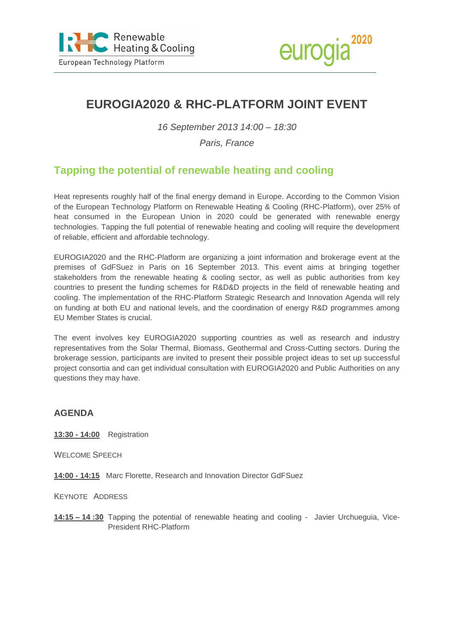



# **EUROGIA2020 & RHC-PLATFORM JOINT EVENT**

*16 September 2013 14:00 – 18:30*

### *Paris, France*

## **Tapping the potential of renewable heating and cooling**

Heat represents roughly half of the final energy demand in Europe. According to the Common Vision of the European Technology Platform on Renewable Heating & Cooling (RHC-Platform), over 25% of heat consumed in the European Union in 2020 could be generated with renewable energy technologies. Tapping the full potential of renewable heating and cooling will require the development of reliable, efficient and affordable technology.

EUROGIA2020 and the RHC-Platform are organizing a joint information and brokerage event at the premises of GdFSuez in Paris on 16 September 2013. This event aims at bringing together stakeholders from the renewable heating & cooling sector, as well as public authorities from key countries to present the funding schemes for R&D&D projects in the field of renewable heating and cooling. The implementation of the RHC-Platform Strategic Research and Innovation Agenda will rely on funding at both EU and national levels, and the coordination of energy R&D programmes among EU Member States is crucial.

The event involves key EUROGIA2020 supporting countries as well as research and industry representatives from the Solar Thermal, Biomass, Geothermal and Cross-Cutting sectors. During the brokerage session, participants are invited to present their possible project ideas to set up successful project consortia and can get individual consultation with EUROGIA2020 and Public Authorities on any questions they may have.

#### **AGENDA**

**13:30 - 14:00** Registration

WELCOME SPEECH

**14:00 - 14:15** Marc Florette, Research and Innovation Director GdFSuez

KEYNOTE ADDRESS

**14:15 – 14 :30** Tapping the potential of renewable heating and cooling - Javier Urchueguia, Vice-President RHC-Platform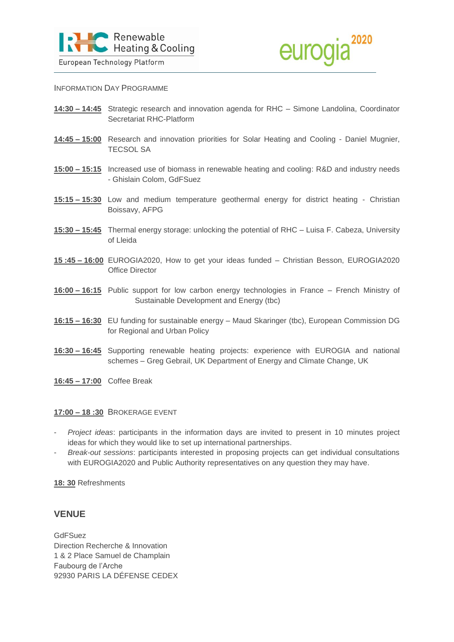



INFORMATION DAY PROGRAMME

**14:30 – 14:45** Strategic research and innovation agenda for RHC – Simone Landolina, Coordinator Secretariat RHC-Platform

- **14:45 – 15:00** Research and innovation priorities for Solar Heating and Cooling Daniel Mugnier, TECSOL SA
- **15:00 – 15:15** Increased use of biomass in renewable heating and cooling: R&D and industry needs - Ghislain Colom, GdFSuez
- **15:15 – 15:30** Low and medium temperature geothermal energy for district heating Christian Boissavy, AFPG
- **15:30 – 15:45** Thermal energy storage: unlocking the potential of RHC Luisa F. Cabeza, University of Lleida
- **15 :45 – 16:00** EUROGIA2020, How to get your ideas funded Christian Besson, EUROGIA2020 Office Director
- **16:00 – 16:15** Public support for low carbon energy technologies in France French Ministry of Sustainable Development and Energy (tbc)
- **16:15 – 16:30** EU funding for sustainable energy Maud Skaringer (tbc), European Commission DG for Regional and Urban Policy
- **16:30 – 16:45** Supporting renewable heating projects: experience with EUROGIA and national schemes – Greg Gebrail, UK Department of Energy and Climate Change, UK
- **16:45 – 17:00** Coffee Break

#### **17:00 – 18 :30** BROKERAGE EVENT

- *Project ideas*: participants in the information days are invited to present in 10 minutes project ideas for which they would like to set up international partnerships.
- *Break-out sessions*: participants interested in proposing projects can get individual consultations with EUROGIA2020 and Public Authority representatives on any question they may have.

**18: 30** Refreshments

#### **VENUE**

**GdFSuez** Direction Recherche & Innovation 1 & 2 Place Samuel de Champlain Faubourg de l'Arche 92930 PARIS LA DÉFENSE CEDEX